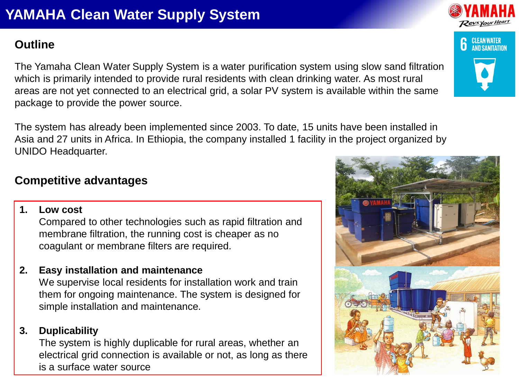# **YAMAHA Clean Water Supply System**

## **Outline**

The Yamaha Clean Water Supply System is a water purification system using slow sand filtration which is primarily intended to provide rural residents with clean drinking water. As most rural areas are not yet connected to an electrical grid, a solar PV system is available within the same package to provide the power source.

The system has already been implemented since 2003. To date, 15 units have been installed in Asia and 27 units in Africa. In Ethiopia, the company installed 1 facility in the project organized by UNIDO Headquarter.

## **Competitive advantages**

**1. Low cost**

Compared to other technologies such as rapid filtration and membrane filtration, the running cost is cheaper as no coagulant or membrane filters are required.

**2. Easy installation and maintenance**

We supervise local residents for installation work and train them for ongoing maintenance. The system is designed for simple installation and maintenance.

#### **3. Duplicability**

The system is highly duplicable for rural areas, whether an electrical grid connection is available or not, as long as there is a surface water source





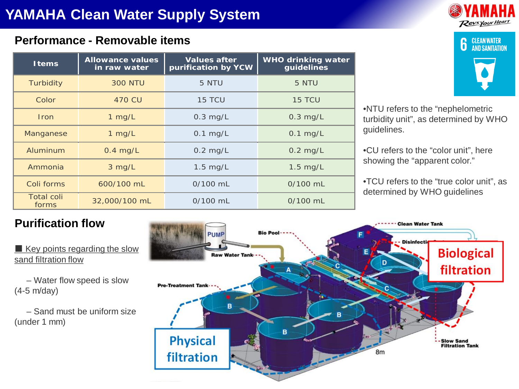#### **Performance - Removable items**

| <b>I</b> tems              | Allowance values<br>in raw water | Values after<br>purification by YCW | WHO drinking water<br>guidelines |
|----------------------------|----------------------------------|-------------------------------------|----------------------------------|
| Turbidity                  | <b>300 NTU</b>                   | 5 NTU                               | 5 NTU                            |
| Color                      | 470 CU                           | 15 TCU                              | 15 TCU                           |
| <b>Iron</b>                | $1$ mg/L                         | $0.3$ mg/L                          | $0.3$ mg/L                       |
| Manganese                  | $1$ mg/L                         | $0.1$ mg/L                          | $0.1$ mg/L                       |
| Aluminum                   | $0.4$ mg/L                       | $0.2$ mg/L                          | $0.2$ mg/L                       |
| Ammonia                    | $3$ mg/L                         | $1.5$ mg/L                          | $1.5$ mg/L                       |
| Coli forms                 | 600/100 mL                       | $0/100$ mL                          | $0/100$ mL                       |
| <b>Total coli</b><br>forms | 32,000/100 mL                    | $0/100$ mL                          | $0/100$ mL                       |





•NTU refers to the "nephelometric turbidity unit", as determined by WHO guidelines.

•CU refers to the "color unit", here showing the "apparent color."

•TCU refers to the "true color unit", as determined by WHO guidelines

## **Purification flow**

 $\blacksquare$  Key points regarding the slow sand filtration flow

– Water flow speed is slow (4-5 m/day)

– Sand must be uniform size (under 1 mm)